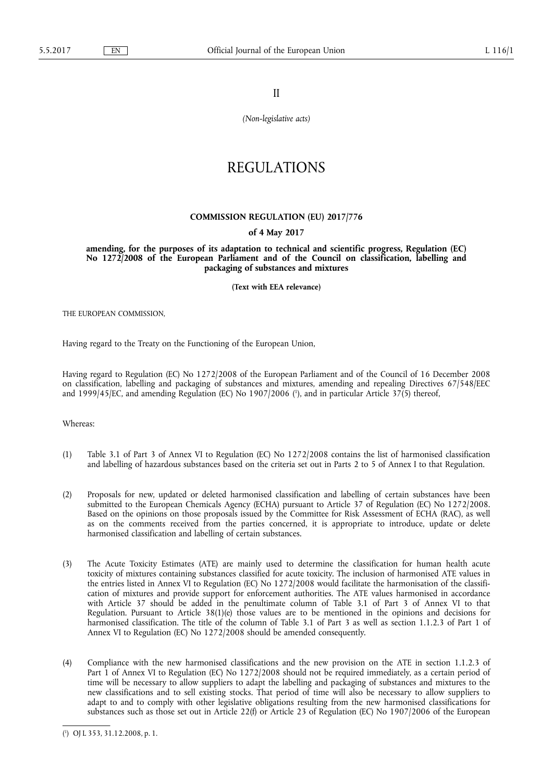II

*(Non-legislative acts)* 

# REGULATIONS

## **COMMISSION REGULATION (EU) 2017/776**

# **of 4 May 2017**

**amending, for the purposes of its adaptation to technical and scientific progress, Regulation (EC) No 1272/2008 of the European Parliament and of the Council on classification, labelling and packaging of substances and mixtures** 

**(Text with EEA relevance)** 

THE EUROPEAN COMMISSION,

Having regard to the Treaty on the Functioning of the European Union,

Having regard to Regulation (EC) No 1272/2008 of the European Parliament and of the Council of 16 December 2008 on classification, labelling and packaging of substances and mixtures, amending and repealing Directives 67/548/EEC and 1999/45/EC, and amending Regulation (EC) No 1907/2006 ( 1 ), and in particular Article 37(5) thereof,

Whereas:

- (1) Table 3.1 of Part 3 of Annex VI to Regulation (EC) No 1272/2008 contains the list of harmonised classification and labelling of hazardous substances based on the criteria set out in Parts 2 to 5 of Annex I to that Regulation.
- (2) Proposals for new, updated or deleted harmonised classification and labelling of certain substances have been submitted to the European Chemicals Agency (ECHA) pursuant to Article 37 of Regulation (EC) No 1272/2008. Based on the opinions on those proposals issued by the Committee for Risk Assessment of ECHA (RAC), as well as on the comments received from the parties concerned, it is appropriate to introduce, update or delete harmonised classification and labelling of certain substances.
- (3) The Acute Toxicity Estimates (ATE) are mainly used to determine the classification for human health acute toxicity of mixtures containing substances classified for acute toxicity. The inclusion of harmonised ATE values in the entries listed in Annex VI to Regulation (EC) No 1272/2008 would facilitate the harmonisation of the classification of mixtures and provide support for enforcement authorities. The ATE values harmonised in accordance with Article 37 should be added in the penultimate column of Table 3.1 of Part 3 of Annex VI to that Regulation. Pursuant to Article 38(1)(e) those values are to be mentioned in the opinions and decisions for harmonised classification. The title of the column of Table 3.1 of Part 3 as well as section 1.1.2.3 of Part 1 of Annex VI to Regulation (EC) No 1272/2008 should be amended consequently.
- (4) Compliance with the new harmonised classifications and the new provision on the ATE in section 1.1.2.3 of Part 1 of Annex VI to Regulation (EC) No 1272/2008 should not be required immediately, as a certain period of time will be necessary to allow suppliers to adapt the labelling and packaging of substances and mixtures to the new classifications and to sell existing stocks. That period of time will also be necessary to allow suppliers to adapt to and to comply with other legislative obligations resulting from the new harmonised classifications for substances such as those set out in Article 22(f) or Article 23 of Regulation (EC) No 1907/2006 of the European

<sup>(</sup> 1 ) OJ L 353, 31.12.2008, p. 1.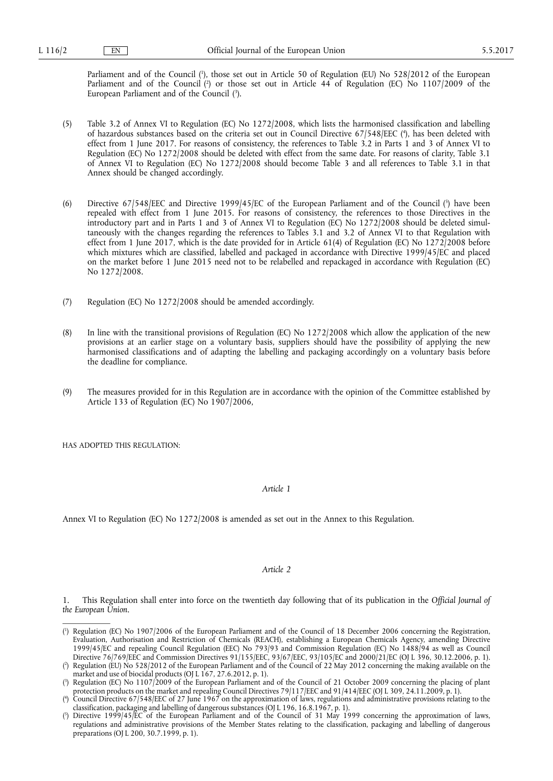Parliament and of the Council ( 1 ), those set out in Article 50 of Regulation (EU) No 528/2012 of the European Parliament and of the Council (?) or those set out in Article 44 of Regulation (EC) No 1107/2009 of the European Parliament and of the Council (3).

- (5) Table 3.2 of Annex VI to Regulation (EC) No 1272/2008, which lists the harmonised classification and labelling of hazardous substances based on the criteria set out in Council Directive 67/548/EEC ( 4 ), has been deleted with effect from 1 June 2017. For reasons of consistency, the references to Table 3.2 in Parts 1 and 3 of Annex VI to Regulation (EC) No 1272/2008 should be deleted with effect from the same date. For reasons of clarity, Table 3.1 of Annex VI to Regulation (EC) No 1272/2008 should become Table 3 and all references to Table 3.1 in that Annex should be changed accordingly.
- (6) Directive 67/548/EEC and Directive 1999/45/EC of the European Parliament and of the Council ( 5 ) have been repealed with effect from 1 June 2015. For reasons of consistency, the references to those Directives in the introductory part and in Parts 1 and 3 of Annex VI to Regulation (EC) No 1272/2008 should be deleted simultaneously with the changes regarding the references to Tables 3.1 and 3.2 of Annex VI to that Regulation with effect from 1 June 2017, which is the date provided for in Article 61(4) of Regulation (EC) No 1272/2008 before which mixtures which are classified, labelled and packaged in accordance with Directive 1999/45/EC and placed on the market before 1 June 2015 need not to be relabelled and repackaged in accordance with Regulation (EC) No 1272/2008.
- (7) Regulation (EC) No 1272/2008 should be amended accordingly.
- (8) In line with the transitional provisions of Regulation (EC) No 1272/2008 which allow the application of the new provisions at an earlier stage on a voluntary basis, suppliers should have the possibility of applying the new harmonised classifications and of adapting the labelling and packaging accordingly on a voluntary basis before the deadline for compliance.
- (9) The measures provided for in this Regulation are in accordance with the opinion of the Committee established by Article 133 of Regulation (EC) No 1907/2006,

HAS ADOPTED THIS REGULATION:

*Article 1* 

Annex VI to Regulation (EC) No 1272/2008 is amended as set out in the Annex to this Regulation.

#### *Article 2*

1. This Regulation shall enter into force on the twentieth day following that of its publication in the *Official Journal of the European Union*.

<sup>(</sup> 1 ) Regulation (EC) No 1907/2006 of the European Parliament and of the Council of 18 December 2006 concerning the Registration, Evaluation, Authorisation and Restriction of Chemicals (REACH), establishing a European Chemicals Agency, amending Directive 1999/45/EC and repealing Council Regulation (EEC) No 793/93 and Commission Regulation (EC) No 1488/94 as well as Council Directive 76/769/EEC and Commission Directives 91/155/EEC, 93/67/EEC, 93/105/EC and 2000/21/EC (OJ L 396, 30.12.2006, p. 1).

<sup>(</sup> 2 ) Regulation (EU) No 528/2012 of the European Parliament and of the Council of 22 May 2012 concerning the making available on the market and use of biocidal products (OJ L 167, 27.6.2012, p. 1).

<sup>(</sup> 3 ) Regulation (EC) No 1107/2009 of the European Parliament and of the Council of 21 October 2009 concerning the placing of plant protection products on the market and repealing Council Directives 79/117/EEC and 91/414/EEC (OJ L 309, 24.11.2009, p. 1).

<sup>(</sup> 4 ) Council Directive 67/548/EEC of 27 June 1967 on the approximation of laws, regulations and administrative provisions relating to the classification, packaging and labelling of dangerous substances (OJ L 196, 16.8.1967, p. 1).

<sup>(</sup> 5 ) Directive 1999/45/EC of the European Parliament and of the Council of 31 May 1999 concerning the approximation of laws, regulations and administrative provisions of the Member States relating to the classification, packaging and labelling of dangerous preparations (OJ L 200, 30.7.1999, p. 1).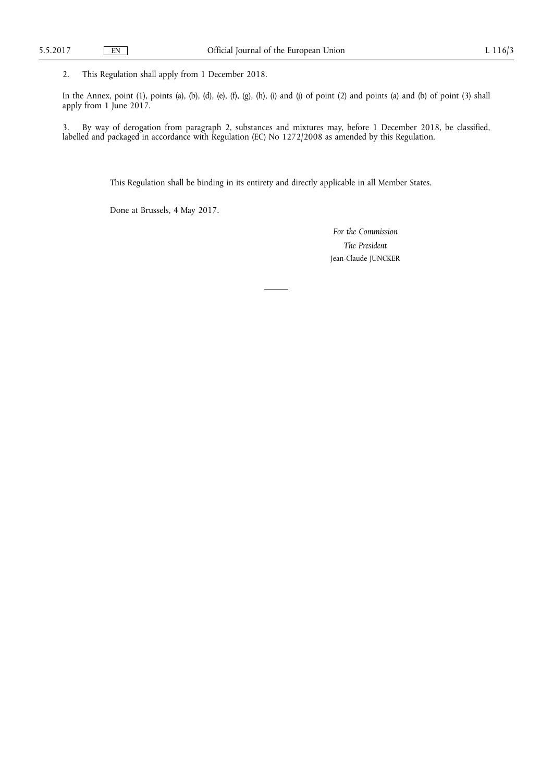2. This Regulation shall apply from 1 December 2018.

In the Annex, point (1), points (a), (b), (d), (e), (f), (g), (h), (i) and (j) of point (2) and points (a) and (b) of point (3) shall apply from 1 June 2017.

3. By way of derogation from paragraph 2, substances and mixtures may, before 1 December 2018, be classified, labelled and packaged in accordance with Regulation (EC) No 1272/2008 as amended by this Regulation.

This Regulation shall be binding in its entirety and directly applicable in all Member States.

Done at Brussels, 4 May 2017.

*For the Commission The President*  Jean-Claude JUNCKER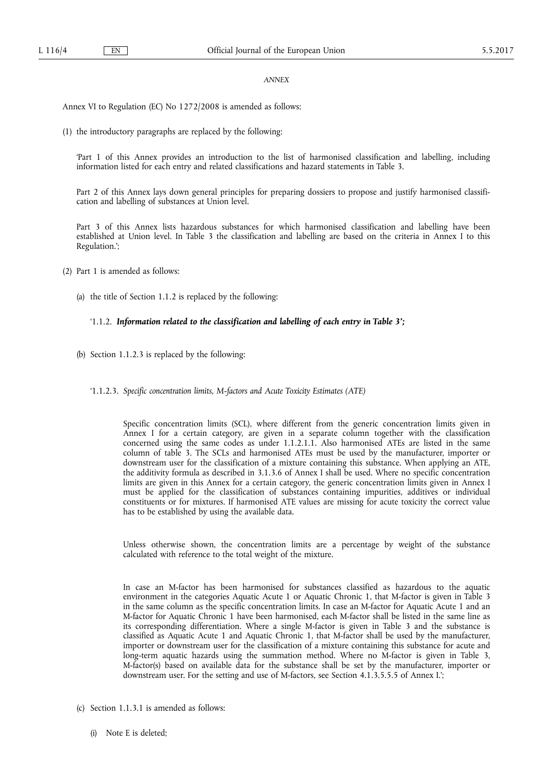#### *ANNEX*

Annex VI to Regulation (EC) No 1272/2008 is amended as follows:

(1) the introductory paragraphs are replaced by the following:

'Part 1 of this Annex provides an introduction to the list of harmonised classification and labelling, including information listed for each entry and related classifications and hazard statements in Table 3.

Part 2 of this Annex lays down general principles for preparing dossiers to propose and justify harmonised classification and labelling of substances at Union level.

Part 3 of this Annex lists hazardous substances for which harmonised classification and labelling have been established at Union level. In Table 3 the classification and labelling are based on the criteria in Annex I to this Regulation.';

(2) Part 1 is amended as follows:

(a) the title of Section 1.1.2 is replaced by the following:

#### '1.1.2. *Information related to the classification and labelling of each entry in Table 3';*

- (b) Section 1.1.2.3 is replaced by the following:
	- '1.1.2.3. *Specific concentration limits, M-factors and Acute Toxicity Estimates (ATE)*

Specific concentration limits (SCL), where different from the generic concentration limits given in Annex I for a certain category, are given in a separate column together with the classification concerned using the same codes as under 1.1.2.1.1. Also harmonised ATEs are listed in the same column of table 3. The SCLs and harmonised ATEs must be used by the manufacturer, importer or downstream user for the classification of a mixture containing this substance. When applying an ATE, the additivity formula as described in 3.1.3.6 of Annex I shall be used. Where no specific concentration limits are given in this Annex for a certain category, the generic concentration limits given in Annex I must be applied for the classification of substances containing impurities, additives or individual constituents or for mixtures. If harmonised ATE values are missing for acute toxicity the correct value has to be established by using the available data.

Unless otherwise shown, the concentration limits are a percentage by weight of the substance calculated with reference to the total weight of the mixture.

In case an M-factor has been harmonised for substances classified as hazardous to the aquatic environment in the categories Aquatic Acute 1 or Aquatic Chronic 1, that M-factor is given in Table 3 in the same column as the specific concentration limits. In case an M-factor for Aquatic Acute 1 and an M-factor for Aquatic Chronic 1 have been harmonised, each M-factor shall be listed in the same line as its corresponding differentiation. Where a single M-factor is given in Table 3 and the substance is classified as Aquatic Acute 1 and Aquatic Chronic 1, that M-factor shall be used by the manufacturer, importer or downstream user for the classification of a mixture containing this substance for acute and long-term aquatic hazards using the summation method. Where no M-factor is given in Table 3, M-factor(s) based on available data for the substance shall be set by the manufacturer, importer or downstream user. For the setting and use of M-factors, see Section 4.1.3.5.5.5 of Annex I.';

- (c) Section 1.1.3.1 is amended as follows:
	- (i) Note E is deleted;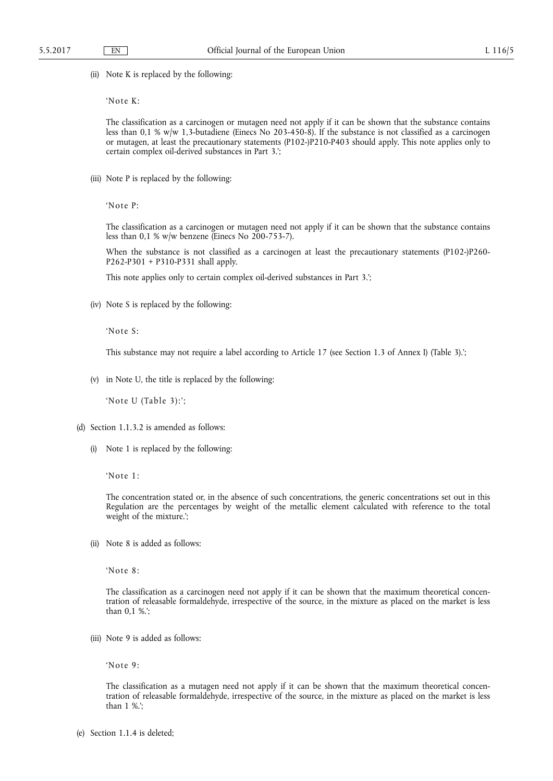(ii) Note K is replaced by the following:

'Note K:

The classification as a carcinogen or mutagen need not apply if it can be shown that the substance contains less than 0,1 % w/w 1,3-butadiene (Einecs No 203-450-8). If the substance is not classified as a carcinogen or mutagen, at least the precautionary statements (P102-)P210-P403 should apply. This note applies only to certain complex oil-derived substances in Part 3.';

(iii) Note P is replaced by the following:

'Note P:

The classification as a carcinogen or mutagen need not apply if it can be shown that the substance contains less than 0,1 % w/w benzene (Einecs No 200-753-7).

When the substance is not classified as a carcinogen at least the precautionary statements (P102-)P260-P262-P301 + P310-P331 shall apply.

This note applies only to certain complex oil-derived substances in Part 3.';

(iv) Note S is replaced by the following:

'Note S:

This substance may not require a label according to Article 17 (see Section 1.3 of Annex I) (Table 3).';

(v) in Note U, the title is replaced by the following:

'Note U (Table 3):';

- (d) Section 1.1.3.2 is amended as follows:
	- (i) Note 1 is replaced by the following:

'Note 1:

The concentration stated or, in the absence of such concentrations, the generic concentrations set out in this Regulation are the percentages by weight of the metallic element calculated with reference to the total weight of the mixture.';

(ii) Note 8 is added as follows:

'Note 8:

The classification as a carcinogen need not apply if it can be shown that the maximum theoretical concentration of releasable formaldehyde, irrespective of the source, in the mixture as placed on the market is less than 0,1 %.';

(iii) Note 9 is added as follows:

'Note 9:

The classification as a mutagen need not apply if it can be shown that the maximum theoretical concentration of releasable formaldehyde, irrespective of the source, in the mixture as placed on the market is less than 1 %.';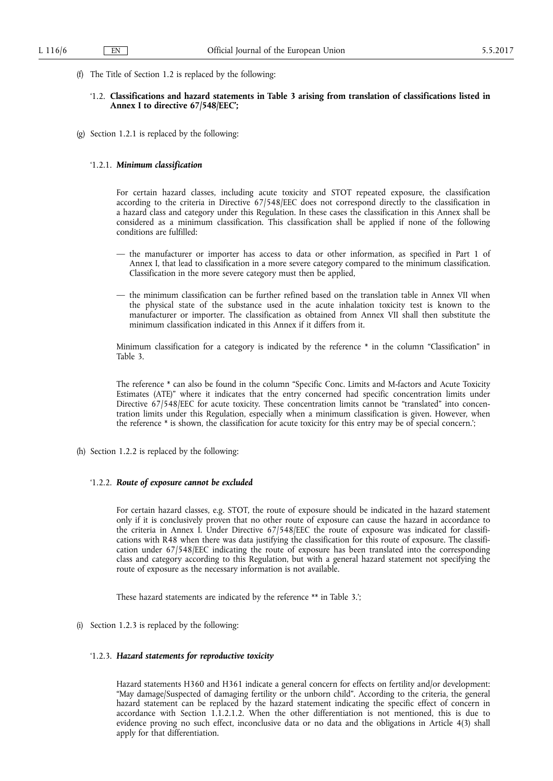(f) The Title of Section 1.2 is replaced by the following:

# '1.2. **Classifications and hazard statements in Table 3 arising from translation of classifications listed in Annex I to directive 67/548/EEC';**

(g) Section 1.2.1 is replaced by the following:

### '1.2.1. *Minimum classification*

For certain hazard classes, including acute toxicity and STOT repeated exposure, the classification according to the criteria in Directive 67/548/EEC does not correspond directly to the classification in a hazard class and category under this Regulation. In these cases the classification in this Annex shall be considered as a minimum classification. This classification shall be applied if none of the following conditions are fulfilled:

- the manufacturer or importer has access to data or other information, as specified in Part 1 of Annex I, that lead to classification in a more severe category compared to the minimum classification. Classification in the more severe category must then be applied,
- the minimum classification can be further refined based on the translation table in Annex VII when the physical state of the substance used in the acute inhalation toxicity test is known to the manufacturer or importer. The classification as obtained from Annex VII shall then substitute the minimum classification indicated in this Annex if it differs from it.

Minimum classification for a category is indicated by the reference \* in the column "Classification" in Table 3.

The reference \* can also be found in the column "Specific Conc. Limits and M-factors and Acute Toxicity Estimates (ATE)" where it indicates that the entry concerned had specific concentration limits under Directive 67/548/EEC for acute toxicity. These concentration limits cannot be "translated" into concentration limits under this Regulation, especially when a minimum classification is given. However, when the reference \* is shown, the classification for acute toxicity for this entry may be of special concern.';

(h) Section 1.2.2 is replaced by the following:

# '1.2.2. *Route of exposure cannot be excluded*

For certain hazard classes, e.g. STOT, the route of exposure should be indicated in the hazard statement only if it is conclusively proven that no other route of exposure can cause the hazard in accordance to the criteria in Annex I. Under Directive 67/548/EEC the route of exposure was indicated for classifications with R48 when there was data justifying the classification for this route of exposure. The classification under 67/548/EEC indicating the route of exposure has been translated into the corresponding class and category according to this Regulation, but with a general hazard statement not specifying the route of exposure as the necessary information is not available.

These hazard statements are indicated by the reference \*\* in Table 3.';

(i) Section 1.2.3 is replaced by the following:

# '1.2.3. *Hazard statements for reproductive toxicity*

Hazard statements H360 and H361 indicate a general concern for effects on fertility and/or development: "May damage/Suspected of damaging fertility or the unborn child". According to the criteria, the general hazard statement can be replaced by the hazard statement indicating the specific effect of concern in accordance with Section 1.1.2.1.2. When the other differentiation is not mentioned, this is due to evidence proving no such effect, inconclusive data or no data and the obligations in Article 4(3) shall apply for that differentiation.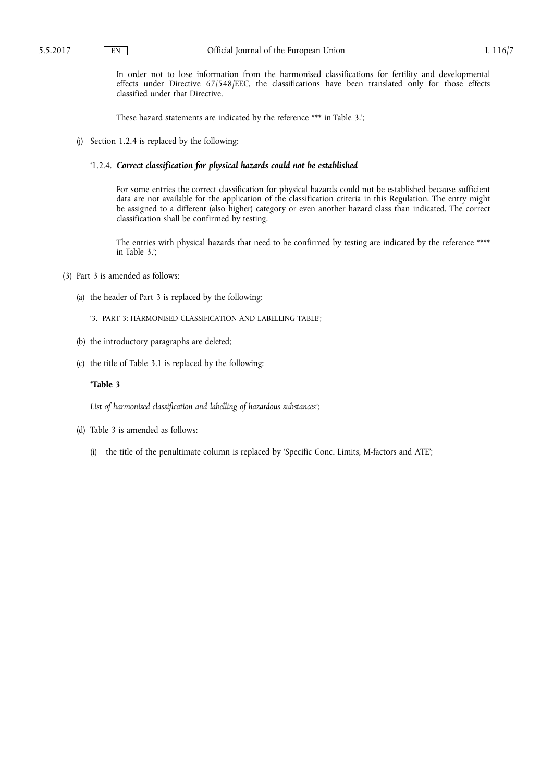In order not to lose information from the harmonised classifications for fertility and developmental effects under Directive 67/548/EEC, the classifications have been translated only for those effects classified under that Directive.

These hazard statements are indicated by the reference \*\*\* in Table 3.';

(j) Section 1.2.4 is replaced by the following:

### '1.2.4. *Correct classification for physical hazards could not be established*

For some entries the correct classification for physical hazards could not be established because sufficient data are not available for the application of the classification criteria in this Regulation. The entry might be assigned to a different (also higher) category or even another hazard class than indicated. The correct classification shall be confirmed by testing.

The entries with physical hazards that need to be confirmed by testing are indicated by the reference \*\*\*\* in Table 3.';

- (3) Part 3 is amended as follows:
	- (a) the header of Part 3 is replaced by the following:
		- '3. PART 3: HARMONISED CLASSIFICATION AND LABELLING TABLE';
	- (b) the introductory paragraphs are deleted;
	- (c) the title of Table 3.1 is replaced by the following:

# **'Table 3**

*List of harmonised classification and labelling of hazardous substances';* 

- (d) Table 3 is amended as follows:
	- (i) the title of the penultimate column is replaced by 'Specific Conc. Limits, M-factors and ATE';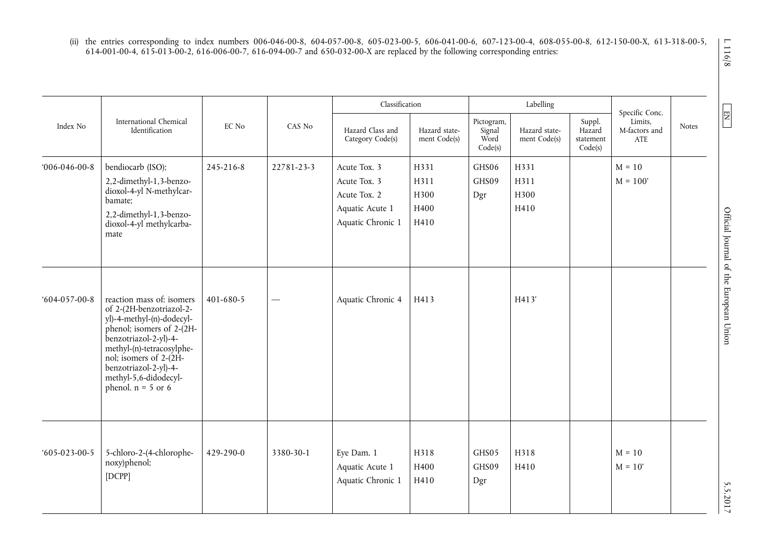(ii) the entries corresponding to index numbers 006-046-00-8, 604-057-00-8, 605-023-00-5, 606-041-00-6, 607-123-00-4, 608-055-00-8, 612-150-00-X, 613-318-00-5, 614-001-00-4, 615-013-00-2, 616-006-00-7, 616-094-00-7 and 650-032-00-X are replaced by the following corresponding entries:

|                |                                                                                                                                                                                                                                                                           |           |                          | Classification                                                                       |                                      |                                         | Labelling                     |                                          | Specific Conc.                  |       |
|----------------|---------------------------------------------------------------------------------------------------------------------------------------------------------------------------------------------------------------------------------------------------------------------------|-----------|--------------------------|--------------------------------------------------------------------------------------|--------------------------------------|-----------------------------------------|-------------------------------|------------------------------------------|---------------------------------|-------|
| Index No       | International Chemical<br>Identification                                                                                                                                                                                                                                  | EC No     | CAS No                   | Hazard Class and<br>Category Code(s)                                                 | Hazard state-<br>ment Code(s)        | Pictogram,<br>Signal<br>Word<br>Code(s) | Hazard state-<br>ment Code(s) | Suppl.<br>Hazard<br>statement<br>Code(s) | Limits,<br>M-factors and<br>ATE | Notes |
| $006-046-00-8$ | bendiocarb (ISO);<br>2,2-dimethyl-1,3-benzo-<br>dioxol-4-yl N-methylcar-<br>bamate;<br>2,2-dimethyl-1,3-benzo-<br>dioxol-4-yl methylcarba-<br>mate                                                                                                                        | 245-216-8 | 22781-23-3               | Acute Tox. 3<br>Acute Tox. 3<br>Acute Tox. 2<br>Aquatic Acute 1<br>Aquatic Chronic 1 | H331<br>H311<br>H300<br>H400<br>H410 | GHS06<br>GHS09<br>Dgr                   | H331<br>H311<br>H300<br>H410  |                                          | $M = 10$<br>$M = 100'$          |       |
| $604-057-00-8$ | reaction mass of: isomers<br>of 2-(2H-benzotriazol-2-<br>yl)-4-methyl-(n)-dodecyl-<br>phenol; isomers of 2-(2H-<br>benzotriazol-2-yl)-4-<br>methyl-(n)-tetracosylphe-<br>nol; isomers of 2-(2H-<br>benzotriazol-2-yl)-4-<br>methyl-5,6-didodecyl-<br>phenol. $n = 5$ or 6 | 401-680-5 | $\overline{\phantom{0}}$ | Aquatic Chronic 4                                                                    | H413                                 |                                         | H413'                         |                                          |                                 |       |
| $605-023-00-5$ | 5-chloro-2-(4-chlorophe-<br>noxy)phenol;<br>[DCPP]                                                                                                                                                                                                                        | 429-290-0 | 3380-30-1                | Eye Dam. 1<br>Aquatic Acute 1<br>Aquatic Chronic 1                                   | H318<br>H400<br>H410                 | GHS05<br>GHS09<br>Dgr                   | H318<br>H410                  |                                          | $M = 10$<br>$M = 10'$           |       |

 $1116/8$ 

**EN**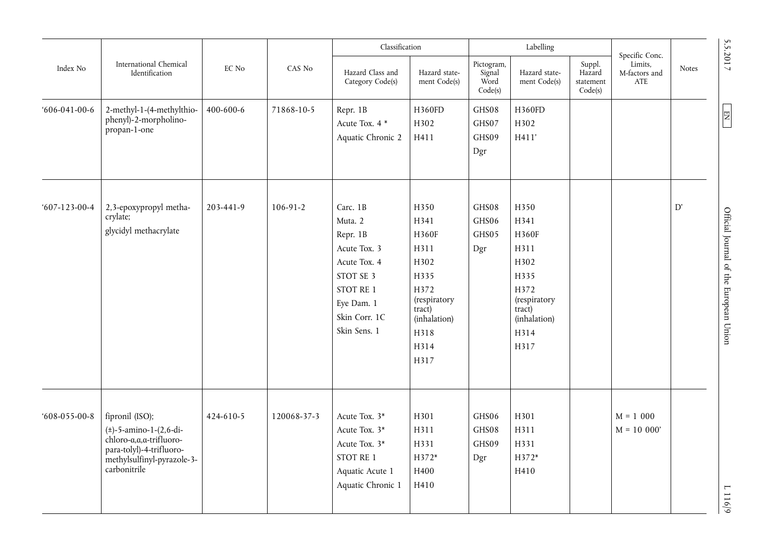|                                  |                                                                                                                                                     |           |                | Classification                                                                                                                           |                                                                                                                                 |                                         | Labelling                                                                                                               |                               | Specific Conc.                           |                                 | 5.5.2017                               |  |
|----------------------------------|-----------------------------------------------------------------------------------------------------------------------------------------------------|-----------|----------------|------------------------------------------------------------------------------------------------------------------------------------------|---------------------------------------------------------------------------------------------------------------------------------|-----------------------------------------|-------------------------------------------------------------------------------------------------------------------------|-------------------------------|------------------------------------------|---------------------------------|----------------------------------------|--|
| Index No<br>$606 - 041 - 00 - 6$ | International Chemical<br>Identification                                                                                                            | EC No     | CAS No         |                                                                                                                                          | Hazard Class and<br>Category Code(s)                                                                                            | Hazard state-<br>ment Code(s)           | Pictogram,<br>Signal<br>Word<br>Code(s)                                                                                 | Hazard state-<br>ment Code(s) | Suppl.<br>Hazard<br>statement<br>Code(s) | Limits,<br>M-factors and<br>ATE | <b>Notes</b>                           |  |
|                                  | 2-methyl-1-(4-methylthio-<br>phenyl)-2-morpholino-<br>propan-1-one                                                                                  | 400-600-6 | 71868-10-5     | Repr. 1B<br>Acute Tox. 4 *<br>Aquatic Chronic 2                                                                                          | H360FD<br>H302<br>H411                                                                                                          | GHS08<br>GHS07<br>GHS09<br>$_{\rm Dgr}$ | H360FD<br>H302<br>H411'                                                                                                 |                               |                                          |                                 | $N_{\rm H}$                            |  |
| $607 - 123 - 00 - 4$             | 2,3-epoxypropyl metha-<br>crylate;<br>glycidyl methacrylate                                                                                         | 203-441-9 | $106 - 91 - 2$ | Carc. 1B<br>Muta. 2<br>Repr. 1B<br>Acute Tox. 3<br>Acute Tox. 4<br>STOT SE 3<br>STOT RE 1<br>Eye Dam. 1<br>Skin Corr. 1C<br>Skin Sens. 1 | H350<br>H341<br>H360F<br>H311<br>H302<br>H335<br>H372<br>(respiratory<br>$\text{tract}$<br>(inhalation)<br>H318<br>H314<br>H317 | GHS08<br>GHS06<br>GHS05<br>Dgr          | H350<br>H341<br>H360F<br>H311<br>H302<br>H335<br>H372<br>(respiratory<br>$\text{tract}$<br>(inhalation)<br>H314<br>H317 |                               |                                          | D'                              | Official Journal of the European Union |  |
| $608 - 055 - 00 - 8$             | fipronil (ISO);<br>$(\pm)$ -5-amino-1-(2,6-di-<br>chloro-a,a,a-trifluoro-<br>para-tolyl)-4-trifluoro-<br>methylsulfinyl-pyrazole-3-<br>carbonitrile | 424-610-5 | 120068-37-3    | Acute Tox. 3*<br>Acute Tox. 3*<br>Acute Tox. 3*<br>STOT RE 1<br>Aquatic Acute 1<br>Aquatic Chronic 1                                     | H301<br>H311<br>H331<br>H372*<br>H400<br>H410                                                                                   | GHS06<br>GHS08<br>GHS09<br>Dgr          | H301<br>H311<br>H331<br>H372*<br>H410                                                                                   |                               | $M = 1000$<br>$M = 10000'$               |                                 | 1116/9                                 |  |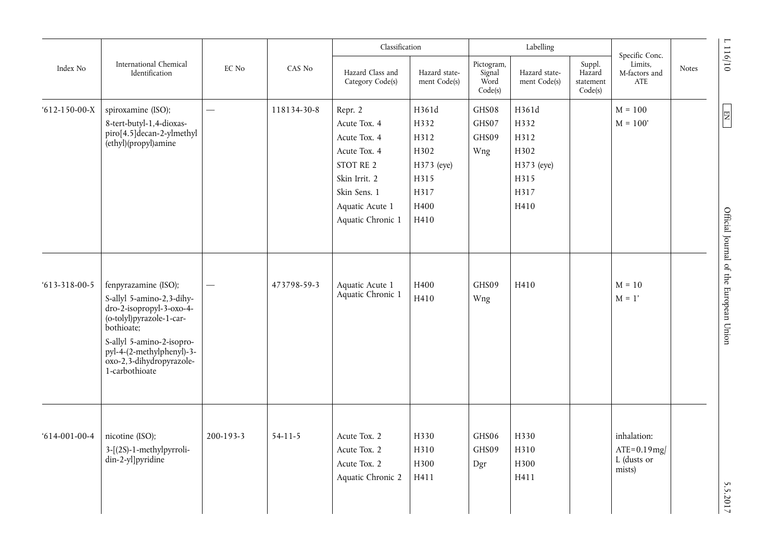| International Chemical |                                                                                                                                                                                                                                 |           |             | Classification                                                                                                                                |                                                                             |                                         | Labelling                                                           |                                          | Specific Conc.                                           |              | 1116/10                                                                  |
|------------------------|---------------------------------------------------------------------------------------------------------------------------------------------------------------------------------------------------------------------------------|-----------|-------------|-----------------------------------------------------------------------------------------------------------------------------------------------|-----------------------------------------------------------------------------|-----------------------------------------|---------------------------------------------------------------------|------------------------------------------|----------------------------------------------------------|--------------|--------------------------------------------------------------------------|
| Index No               | Identification<br>spiroxamine (ISO);                                                                                                                                                                                            | EC No     | CAS No      | Hazard Class and<br>Category Code(s)                                                                                                          | Hazard state-<br>ment Code(s)                                               | Pictogram,<br>Signal<br>Word<br>Code(s) | Hazard state-<br>ment Code(s)                                       | Suppl.<br>Hazard<br>statement<br>Code(s) | Limits,<br>M-factors and<br>ATE                          | <b>Notes</b> |                                                                          |
| $612 - 150 - 00 - X$   | 8-tert-butyl-1,4-dioxas-<br>piro[4.5]decan-2-ylmethyl<br>(ethyl)(propyl)amine                                                                                                                                                   |           | 118134-30-8 | Repr. 2<br>Acute Tox. 4<br>Acute Tox. 4<br>Acute Tox. 4<br>STOT RE 2<br>Skin Irrit. 2<br>Skin Sens. 1<br>Aquatic Acute 1<br>Aquatic Chronic 1 | H361d<br>H332<br>H312<br>H302<br>H373 (eye)<br>H315<br>H317<br>H400<br>H410 | GHS08<br>GHS07<br>GHS09<br>Wng          | H361d<br>H332<br>H312<br>H302<br>H373 (eye)<br>H315<br>H317<br>H410 |                                          | $M = 100$<br>$M = 100'$                                  |              | $\begin{array}{ c c } \hline \text{NS} & \text{NS} \\\hline \end{array}$ |
| $613 - 318 - 00 - 5$   | fenpyrazamine (ISO);<br>S-allyl 5-amino-2,3-dihy-<br>dro-2-isopropyl-3-oxo-4-<br>(o-tolyl)pyrazole-1-car-<br>bothioate;<br>S-allyl 5-amino-2-isopro-<br>pyl-4-(2-methylphenyl)-3-<br>oxo-2,3-dihydropyrazole-<br>1-carbothioate |           | 473798-59-3 | Aquatic Acute 1<br>Aquatic Chronic 1                                                                                                          | H400<br>H410                                                                | GHS09<br>Wng                            | H410                                                                |                                          | $M = 10$<br>$M = 1'$                                     |              | Official Journal of the European Union                                   |
| $614-001-00-4$         | nicotine (ISO);<br>3-[(2S)-1-methylpyrroli-<br>din-2-yl]pyridine                                                                                                                                                                | 200-193-3 | $54-11-5$   | Acute Tox. 2<br>Acute Tox. 2<br>Acute Tox. 2<br>Aquatic Chronic 2                                                                             | H330<br>H310<br>H300<br>H411                                                | GHS06<br>GHS09<br>Dgr                   | H330<br>H310<br>H300<br>H411                                        |                                          | inhalation:<br>$ATE = 0.19$ mg/<br>L (dusts or<br>mists) |              | 5.5.2017                                                                 |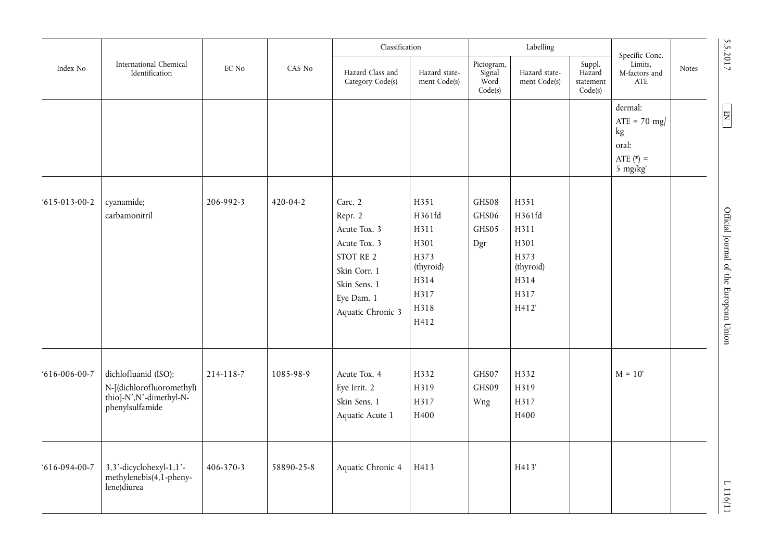|                      |                                                                                                 |                 |                                      | Classification                                                                                                                     |                                                                                     |                                | Labelling                                                                    |                                 | Specific Conc.                                                      |  | 5.5.2017                               |
|----------------------|-------------------------------------------------------------------------------------------------|-----------------|--------------------------------------|------------------------------------------------------------------------------------------------------------------------------------|-------------------------------------------------------------------------------------|--------------------------------|------------------------------------------------------------------------------|---------------------------------|---------------------------------------------------------------------|--|----------------------------------------|
| Index No             | International Chemical<br>Identification                                                        | EC No<br>CAS No | Hazard Class and<br>Category Code(s) | Hazard state-<br>ment Code(s)                                                                                                      | Pictogram,<br>Signal<br>Word<br>Code(s)                                             | Hazard state-<br>ment Code(s)  | Suppl.<br>Hazard<br>statement<br>Code(s)                                     | Limits,<br>M-factors and<br>ATE | Notes                                                               |  |                                        |
|                      |                                                                                                 |                 |                                      |                                                                                                                                    |                                                                                     |                                |                                                                              |                                 | dermal:<br>$ATE = 70$ mg/<br>kg<br>oral:<br>ATE $(*)$ =<br>5 mg/kg' |  | $\boxed{\Xi}$                          |
| $615 - 013 - 00 - 2$ | cyanamide;<br>carbamonitril                                                                     | 206-992-3       | 420-04-2                             | Carc. 2<br>Repr. 2<br>Acute Tox. 3<br>Acute Tox. 3<br>STOT RE 2<br>Skin Corr. 1<br>Skin Sens. 1<br>Eye Dam. 1<br>Aquatic Chronic 3 | H351<br>H361fd<br>H311<br>H301<br>H373<br>(thyroid)<br>H314<br>H317<br>H318<br>H412 | GHS08<br>GHS06<br>GHS05<br>Dgr | H351<br>H361fd<br>H311<br>H301<br>H373<br>(thyroid)<br>H314<br>H317<br>H412' |                                 |                                                                     |  | Official Journal of the European Union |
| $616 - 006 - 00 - 7$ | dichlofluanid (ISO);<br>N-[(dichlorofluoromethyl)<br>thio]-N',N'-dimethyl-N-<br>phenylsulfamide | 214-118-7       | 1085-98-9                            | Acute Tox. 4<br>Eye Irrit. 2<br>Skin Sens. 1<br>Aquatic Acute 1                                                                    | H332<br>H319<br>H317<br>H400                                                        | GHS07<br>GHS09<br>Wng          | H332<br>H319<br>H317<br>H400                                                 |                                 | $M = 10'$                                                           |  |                                        |
| $616 - 094 - 00 - 7$ | 3,3'-dicyclohexyl-1,1'-<br>methylenebis(4,1-pheny-<br>lene)diurea                               | 406-370-3       | 58890-25-8                           | Aquatic Chronic 4                                                                                                                  | H413                                                                                |                                | H413'                                                                        |                                 |                                                                     |  | $\mathbf{r}$<br>11911                  |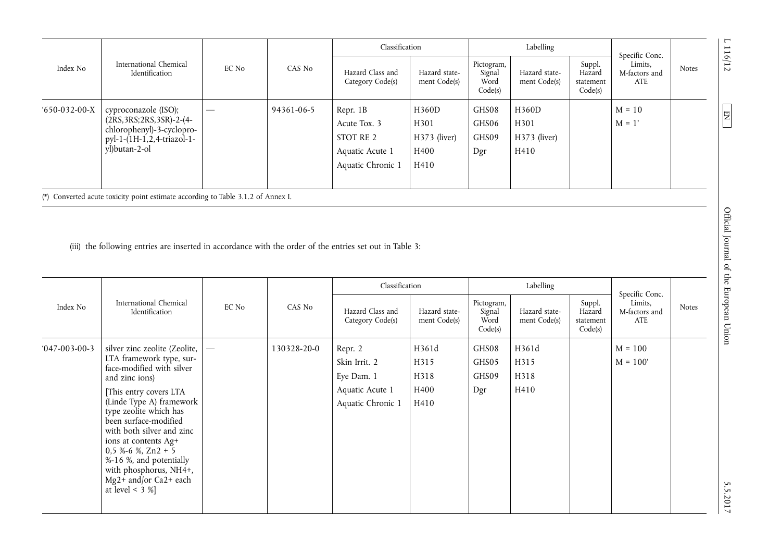|                |                                                                                                                                       |       |            | Classification                                                                |                                               |                                         | Labelling                               |                                          | Specific Conc.                  |              |
|----------------|---------------------------------------------------------------------------------------------------------------------------------------|-------|------------|-------------------------------------------------------------------------------|-----------------------------------------------|-----------------------------------------|-----------------------------------------|------------------------------------------|---------------------------------|--------------|
| Index No       | International Chemical<br>Identification                                                                                              | EC No | CAS No     | Hazard Class and<br>Category Code(s)                                          | Hazard state-<br>ment Code(s)                 | Pictogram,<br>Signal<br>Word<br>Code(s) | Hazard state-<br>ment Code(s)           | Suppl.<br>Hazard<br>statement<br>Code(s) | Limits,<br>M-factors and<br>ATE | <b>Notes</b> |
| $650-032-00-X$ | cyproconazole (ISO);<br>$(2RS, 3RS; 2RS, 3SR) - 2 - (4 -$<br>chlorophenyl)-3-cyclopro-<br>pyl-1-(1H-1,2,4-triazol-1-<br>yl)butan-2-ol |       | 94361-06-5 | Repr. 1B<br>Acute Tox. 3<br>STOT RE 2<br>Aquatic Acute 1<br>Aquatic Chronic 1 | H360D<br>H301<br>H373 (liver)<br>H400<br>H410 | GHS08<br>GHS06<br>GHS09<br>Dgr          | H360D<br>H301<br>$H373$ (liver)<br>H410 |                                          | $M = 10$<br>$M = 1'$            |              |
|                | (*) Converted acute toxicity point estimate according to Table 3.1.2 of Annex I.                                                      |       |            |                                                                               |                                               |                                         |                                         |                                          |                                 |              |

(iii) the following entries are inserted in accordance with the order of the entries set out in Table 3:

|                      |                                                                                                                                                                                                                                                                                                                                                                                                        |       |             | Classification                                                                 |                                       |                                         | Labelling                     |                                          | Specific Conc.                  |              |
|----------------------|--------------------------------------------------------------------------------------------------------------------------------------------------------------------------------------------------------------------------------------------------------------------------------------------------------------------------------------------------------------------------------------------------------|-------|-------------|--------------------------------------------------------------------------------|---------------------------------------|-----------------------------------------|-------------------------------|------------------------------------------|---------------------------------|--------------|
| Index No             | International Chemical<br>Identification                                                                                                                                                                                                                                                                                                                                                               | EC No | CAS No      | Hazard Class and<br>Category Code(s)                                           | Hazard state-<br>ment Code(s)         | Pictogram,<br>Signal<br>Word<br>Code(s) | Hazard state-<br>ment Code(s) | Suppl.<br>Hazard<br>statement<br>Code(s) | Limits,<br>M-factors and<br>ATE | <b>Notes</b> |
| $047 - 003 - 00 - 3$ | silver zinc zeolite (Zeolite,<br>LTA framework type, sur-<br>face-modified with silver<br>and zinc ions)<br>[This entry covers LTA<br>(Linde Type A) framework<br>type zeolite which has<br>been surface-modified<br>with both silver and zinc<br>ions at contents Ag+<br>$0,5 %-6 %$ , Zn2 + 5<br>%-16 %, and potentially<br>with phosphorus, NH4+,<br>$Mg2+$ and/or Ca2+ each<br>at level $\lt$ 3 %] |       | 130328-20-0 | Repr. 2<br>Skin Irrit. 2<br>Eye Dam. 1<br>Aquatic Acute 1<br>Aquatic Chronic 1 | H361d<br>H315<br>H318<br>H400<br>H410 | GHS08<br>GHS05<br>GHS09<br>Dgr          | H361d<br>H315<br>H318<br>H410 |                                          | $M = 100$<br>$M = 100'$         |              |

 $5.5.701$  S  $^{-1}$  D  $^{-1}$  D 116/12  $^{-1}$  D 116/12  $^{-1}$  D 116/12  $^{-1}$  D 116/12  $^{-1}$  D 116/12  $^{-1}$  D 116/12  $^{-1}$  D 116/12  $^{-1}$  D 116/12  $^{-1}$ Official Journal of the European Union

 $L 116/12$ 

 $N<sub>H</sub>$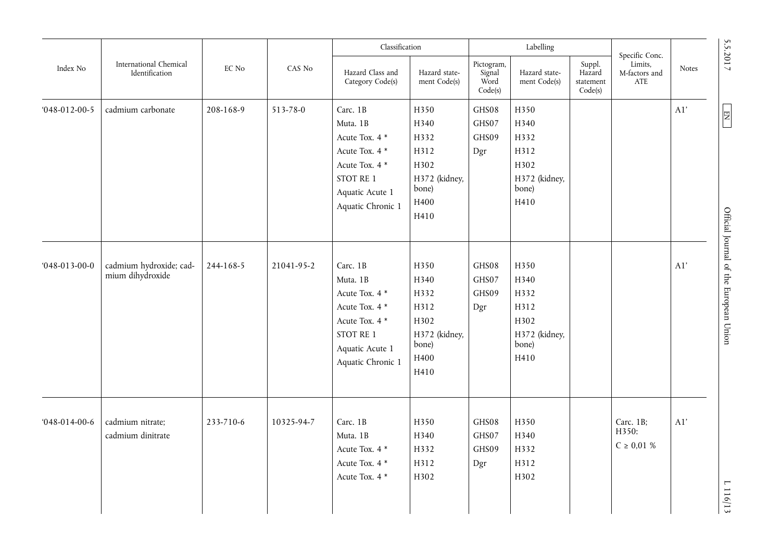|                      |                                             |                               |            | Classification                                                                                                                  |                                                                                |                                         | Labelling                                                              |                                          | Specific Conc.                        |       |                                        |
|----------------------|---------------------------------------------|-------------------------------|------------|---------------------------------------------------------------------------------------------------------------------------------|--------------------------------------------------------------------------------|-----------------------------------------|------------------------------------------------------------------------|------------------------------------------|---------------------------------------|-------|----------------------------------------|
| Index No             | International Chemical<br>Identification    | $\mathop{\rm EC}\nolimits$ No | CAS No     | Hazard Class and<br>Category Code(s)                                                                                            | Hazard state-<br>ment Code(s)                                                  | Pictogram,<br>Signal<br>Word<br>Code(s) | Hazard state-<br>ment Code(s)                                          | Suppl.<br>Hazard<br>statement<br>Code(s) | Limits,<br>M-factors and<br>ATE       | Notes | 5.5.2017                               |
| $048 - 012 - 00 - 5$ | cadmium carbonate                           | 208-168-9                     | 513-78-0   | Carc. 1B<br>Muta. 1B<br>Acute Tox. 4 *<br>Acute Tox. 4 *<br>Acute Tox. 4 *<br>STOT RE 1<br>Aquatic Acute 1<br>Aquatic Chronic 1 | H350<br>H340<br>H332<br>H312<br>H302<br>H372 (kidney,<br>bone)<br>H400<br>H410 | GHS08<br>GHS07<br>GHS09<br>Dgr          | H350<br>H340<br>H332<br>H312<br>H302<br>H372 (kidney,<br>bone)<br>H410 |                                          |                                       | A1'   | $\overline{E}$                         |
| $048 - 013 - 00 - 0$ | cadmium hydroxide; cad-<br>mium dihydroxide | 244-168-5                     | 21041-95-2 | Carc. 1B<br>Muta. 1B<br>Acute Tox. 4 *<br>Acute Tox. 4 *<br>Acute Tox. 4 *<br>STOT RE 1<br>Aquatic Acute 1<br>Aquatic Chronic 1 | H350<br>H340<br>H332<br>H312<br>H302<br>H372 (kidney,<br>bone)<br>H400<br>H410 | GHS08<br>GHS07<br>GHS09<br>Dgr          | H350<br>H340<br>H332<br>H312<br>H302<br>H372 (kidney,<br>bone)<br>H410 |                                          |                                       | A1'   | Official Journal of the European Union |
| $048 - 014 - 00 - 6$ | cadmium nitrate;<br>cadmium dinitrate       | 233-710-6                     | 10325-94-7 | Carc. 1B<br>Muta. 1B<br>Acute Tox. 4 *<br>Acute Tox. 4 *<br>Acute Tox. 4 *                                                      | H350<br>H340<br>H332<br>H312<br>H302                                           | GHS08<br>GHS07<br>GHS09<br>Dgr          | H350<br>H340<br>H332<br>H312<br>H302                                   |                                          | Carc. 1B;<br>H350:<br>$C \ge 0.01 \%$ | A1'   | 1116/13                                |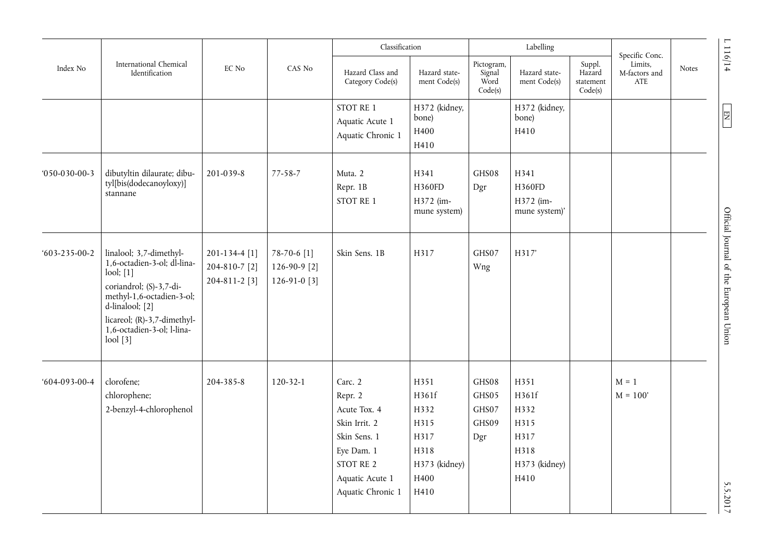|                      |                                                                                                                                                                                                                                              |                                                 |                                                 | Classification                                                                                                                         |                                                                                |                                         | Labelling                                                              |                                          | Specific Conc.                  |              | 1116/14                                   |
|----------------------|----------------------------------------------------------------------------------------------------------------------------------------------------------------------------------------------------------------------------------------------|-------------------------------------------------|-------------------------------------------------|----------------------------------------------------------------------------------------------------------------------------------------|--------------------------------------------------------------------------------|-----------------------------------------|------------------------------------------------------------------------|------------------------------------------|---------------------------------|--------------|-------------------------------------------|
| Index No             | International Chemical<br>Identification                                                                                                                                                                                                     | EC No                                           | CAS No                                          | Hazard Class and<br>Category Code(s)                                                                                                   | Hazard state-<br>ment Code(s)                                                  | Pictogram,<br>Signal<br>Word<br>Code(s) | Hazard state-<br>ment Code(s)                                          | Suppl.<br>Hazard<br>statement<br>Code(s) | Limits,<br>M-factors and<br>ATE | <b>Notes</b> |                                           |
|                      |                                                                                                                                                                                                                                              |                                                 |                                                 | STOT RE 1<br>Aquatic Acute 1<br>Aquatic Chronic 1                                                                                      | H372 (kidney,<br>bone)<br>H400<br>H410                                         |                                         | H372 (kidney,<br>bone)<br>H410                                         |                                          |                                 |              | $\begin{array}{c} \hline \Xi \end{array}$ |
| $050-030-00-3$       | dibutyltin dilaurate; dibu-<br>tyl[bis(dodecanoyloxy)]<br>stannane                                                                                                                                                                           | 201-039-8                                       | $77 - 58 - 7$                                   | Muta. 2<br>Repr. 1B<br>STOT RE 1                                                                                                       | H341<br>H360FD<br>H372 (im-<br>mune system)                                    | GHS08<br>Dgr                            | H341<br>H360FD<br>H372 (im-<br>mune system)'                           |                                          |                                 |              |                                           |
| $603 - 235 - 00 - 2$ | linalool; 3,7-dimethyl-<br>1,6-octadien-3-ol; dl-lina-<br>$\text{lool}$ ; $[1]$<br>coriandrol; (S)-3,7-di-<br>methyl-1,6-octadien-3-ol;<br>d-linalool; [2]<br>licareol; (R)-3,7-dimethyl-<br>1,6-octadien-3-ol; l-lina-<br>$\text{lool}$ [3] | 201-134-4 [1]<br>204-810-7 [2]<br>204-811-2 [3] | 78-70-6 [1]<br>126-90-9 $[2]$<br>126-91-0 $[3]$ | Skin Sens. 1B                                                                                                                          | H317                                                                           | GHS07<br>Wng                            | H317'                                                                  |                                          |                                 |              | Official Journal of the European Union    |
| $604-093-00-4$       | clorofene;<br>chlorophene;<br>2-benzyl-4-chlorophenol                                                                                                                                                                                        | 204-385-8                                       | $120 - 32 - 1$                                  | Carc. 2<br>Repr. 2<br>Acute Tox. 4<br>Skin Irrit. 2<br>Skin Sens. 1<br>Eye Dam. 1<br>STOT RE 2<br>Aquatic Acute 1<br>Aquatic Chronic 1 | H351<br>H361f<br>H332<br>H315<br>H317<br>H318<br>H373 (kidney)<br>H400<br>H410 | GHS08<br>GHS05<br>GHS07<br>GHS09<br>Dgr | H351<br>H361f<br>H332<br>H315<br>H317<br>H318<br>H373 (kidney)<br>H410 |                                          | $M = 1$<br>$M = 100'$           |              | 5.5.2017                                  |

 $L 116/14$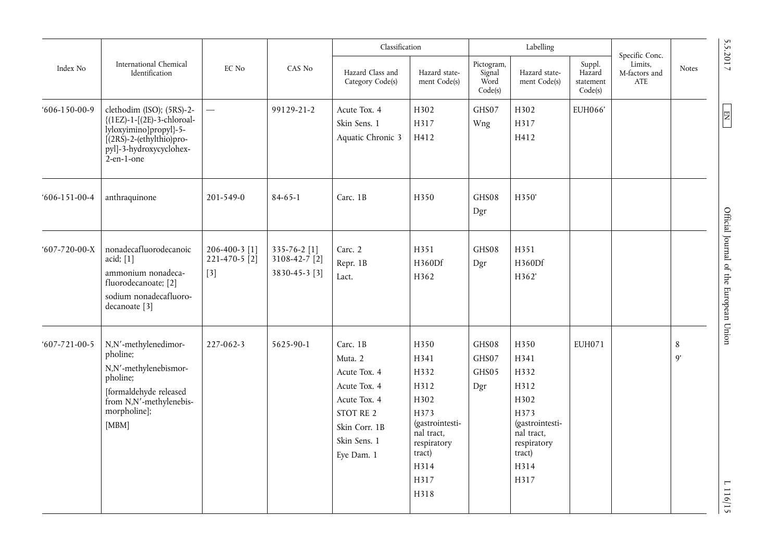|                      |                                                                                                                                                                            |                                               |                                                | Classification                                                                                                                  |                                                                                                                                |                                         | Labelling                                                                                                              |                                          |                                                   |               |
|----------------------|----------------------------------------------------------------------------------------------------------------------------------------------------------------------------|-----------------------------------------------|------------------------------------------------|---------------------------------------------------------------------------------------------------------------------------------|--------------------------------------------------------------------------------------------------------------------------------|-----------------------------------------|------------------------------------------------------------------------------------------------------------------------|------------------------------------------|---------------------------------------------------|---------------|
| Index No             | International Chemical<br>Identification                                                                                                                                   | EC No<br>CAS No                               |                                                | Hazard Class and<br>Category Code(s)                                                                                            | Hazard state-<br>ment Code(s)                                                                                                  | Pictogram,<br>Signal<br>Word<br>Code(s) | Hazard state-<br>ment Code(s)                                                                                          | Suppl.<br>Hazard<br>statement<br>Code(s) | Specific Conc.<br>Limits,<br>M-factors and<br>ATE | Notes         |
| $606 - 150 - 00 - 9$ | clethodim (ISO); (5RS)-2-<br>{(1EZ)-1-[(2E)-3-chloroal-<br>lyloxyimino]propyl}-5-<br>$[(2R\acute{S})-2-(\text{ethylthio})pro-$<br>pyl]-3-hydroxycyclohex-<br>$2$ -en-1-one | $\overline{\phantom{0}}$                      | 99129-21-2                                     | Acute Tox. 4<br>Skin Sens. 1<br>Aquatic Chronic 3                                                                               | H302<br>H317<br>H412                                                                                                           | GHS07<br>Wng                            | H302<br>H317<br>H412                                                                                                   | EUH066'                                  |                                                   |               |
| $606 - 151 - 00 - 4$ | anthraquinone                                                                                                                                                              | 201-549-0                                     | $84 - 65 - 1$                                  | Carc. 1B                                                                                                                        | H350                                                                                                                           | GHS08<br>Dgr                            | H350'                                                                                                                  |                                          |                                                   |               |
| $607 - 720 - 00 - X$ | nonadecafluorodecanoic<br>acid; $[1]$<br>ammonium nonadeca-<br>fluorodecanoate; [2]<br>sodium nonadecafluoro-<br>decanoate [3]                                             | 206-400-3 [1]<br>$221 - 470 - 5$ [2]<br>$[3]$ | 335-76-2 [1]<br>3108-42-7 [2]<br>3830-45-3 [3] | Carc. 2<br>Repr. 1B<br>Lact.                                                                                                    | H351<br>H360Df<br>H362                                                                                                         | GHS08<br>Dgr                            | H351<br>H360Df<br>H362'                                                                                                |                                          |                                                   |               |
| $607 - 721 - 00 - 5$ | N,N'-methylenedimor-<br>pholine;<br>N,N'-methylenebismor-<br>pholine;<br>[formaldehyde released<br>from N,N'-methylenebis-<br>morpholine];<br>[MBM]                        | 227-062-3                                     | 5625-90-1                                      | Carc. 1B<br>Muta. 2<br>Acute Tox. 4<br>Acute Tox. 4<br>Acute Tox. 4<br>STOT RE 2<br>Skin Corr. 1B<br>Skin Sens. 1<br>Eye Dam. 1 | H350<br>H341<br>H332<br>H312<br>H302<br>H373<br>(gastrointesti-<br>nal tract,<br>respiratory<br>tract)<br>H314<br>H317<br>H318 | GHS08<br>GHS07<br>GHS05<br>Dgr          | H350<br>H341<br>H332<br>H312<br>H302<br>H373<br>(gastrointesti-<br>nal tract,<br>respiratory<br>tract)<br>H314<br>H317 | EUH071                                   |                                                   | $\,8\,$<br>9' |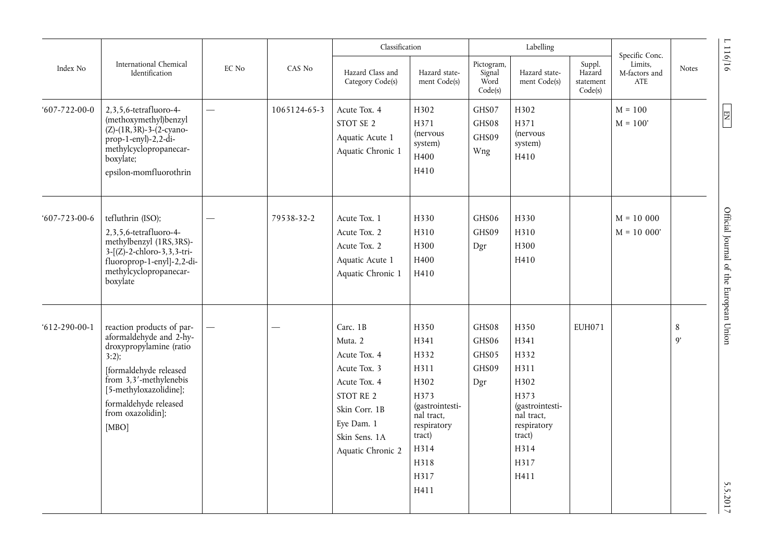|                      |                                                                                                                                                                                                                               |                                   |              | Classification                                                                                                                                        |                                                                                                                                        |                                         | Labelling                                                                                                                      |                                          | Specific Conc.                  |                      |                                                   |
|----------------------|-------------------------------------------------------------------------------------------------------------------------------------------------------------------------------------------------------------------------------|-----------------------------------|--------------|-------------------------------------------------------------------------------------------------------------------------------------------------------|----------------------------------------------------------------------------------------------------------------------------------------|-----------------------------------------|--------------------------------------------------------------------------------------------------------------------------------|------------------------------------------|---------------------------------|----------------------|---------------------------------------------------|
| Index No             | International Chemical<br>Identification                                                                                                                                                                                      | EC No<br>$\overline{\phantom{0}}$ | CAS No       | Hazard Class and<br>Category Code(s)                                                                                                                  | Hazard state-<br>ment Code(s)                                                                                                          | Pictogram,<br>Signal<br>Word<br>Code(s) | Hazard state-<br>ment Code(s)                                                                                                  | Suppl.<br>Hazard<br>statement<br>Code(s) | Limits,<br>M-factors and<br>ATE | Notes                | 1116/16                                           |
| $607 - 722 - 00 - 0$ | 2,3,5,6-tetrafluoro-4-<br>(methoxymethyl)benzyl<br>$(Z)$ - $(1R, 3R)$ -3- $(2$ -cyano-<br>$prop-1-enyl$ -2,2-di-<br>methylcyclopropanecar-<br>boxylate;<br>epsilon-momfluorothrin                                             |                                   | 1065124-65-3 | Acute Tox. 4<br>STOT SE 2<br>Aquatic Acute 1<br>Aquatic Chronic 1                                                                                     | H302<br>H371<br>(nervous<br>system)<br>H400<br>H410                                                                                    | GHS07<br>GHS08<br>GHS09<br>Wng          | H302<br>H371<br><i>(nervous</i><br>system)<br>H410                                                                             |                                          | $M = 100$<br>$M = 100'$         |                      | $\begin{array}{ c } \hline \text{NS} \end{array}$ |
| $607 - 723 - 00 - 6$ | tefluthrin (ISO);<br>2,3,5,6-tetrafluoro-4-<br>methylbenzyl (1RS, 3RS)-<br>$3-[Z]-2$ -chloro-3,3,3-tri-<br>fluoroprop-1-enyl]-2,2-di-<br>methylcyclopropanecar-<br>boxylate                                                   |                                   | 79538-32-2   | Acute Tox. 1<br>Acute Tox. 2<br>Acute Tox. 2<br>Aquatic Acute 1<br>Aquatic Chronic 1                                                                  | H330<br>H310<br>H300<br>H400<br>H410                                                                                                   | GHS06<br>GHS09<br>Dgr                   | H330<br>H310<br>H300<br>H410                                                                                                   |                                          | $M = 10000$<br>$M = 10000'$     |                      | Official Journal of the European Union            |
| $612 - 290 - 00 - 1$ | reaction products of par-<br>aformaldehyde and 2-hy-<br>droxypropylamine (ratio<br>3:2);<br>[formaldehyde released<br>from 3,3'-methylenebis<br>[5-methyloxazolidine];<br>formaldehyde released<br>from oxazolidin];<br>[MBO] |                                   |              | Carc. 1B<br>Muta. 2<br>Acute Tox. 4<br>Acute Tox. 3<br>Acute Tox. 4<br>STOT RE 2<br>Skin Corr. 1B<br>Eye Dam. 1<br>Skin Sens. 1A<br>Aquatic Chronic 2 | H350<br>H341<br>H332<br>H311<br>H302<br>H373<br>(gastrointesti-<br>nal tract.<br>respiratory<br>tract)<br>H314<br>H318<br>H317<br>H411 | GHS08<br>GHS06<br>GHS05<br>GHS09<br>Dgr | H350<br>H341<br>H332<br>H311<br>H302<br>H373<br>(gastrointesti-<br>nal tract,<br>respiratory<br>tract)<br>H314<br>H317<br>H411 | <b>EUH071</b>                            |                                 | 8<br>$\mathfrak{g}'$ | 5.5.2017                                          |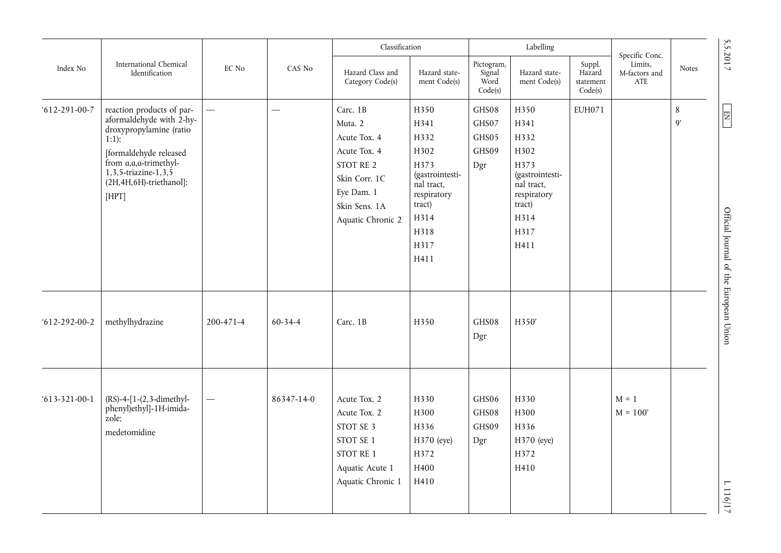|                      |                                                                                                                                                                                                            |                          |            | Classification                                                                                                                        |                                                                                                                                |                                         | Labelling                                                                                                              |                                          |                                                   | 5.5.2017                                                      |
|----------------------|------------------------------------------------------------------------------------------------------------------------------------------------------------------------------------------------------------|--------------------------|------------|---------------------------------------------------------------------------------------------------------------------------------------|--------------------------------------------------------------------------------------------------------------------------------|-----------------------------------------|------------------------------------------------------------------------------------------------------------------------|------------------------------------------|---------------------------------------------------|---------------------------------------------------------------|
| Index No             | International Chemical<br>Identification                                                                                                                                                                   | EC No                    | CAS No     | Hazard Class and<br>Category Code(s)                                                                                                  | Hazard state-<br>ment Code(s)                                                                                                  | Pictogram,<br>Signal<br>Word<br>Code(s) | Hazard state-<br>ment Code(s)                                                                                          | Suppl.<br>Hazard<br>statement<br>Code(s) | Specific Conc.<br>Limits.<br>M-factors and<br>ATE | <b>Notes</b>                                                  |
| $612 - 291 - 00 - 7$ | reaction products of par-<br>aformaldehyde with 2-hy-<br>droxypropylamine (ratio<br>1:1);<br>[formaldehyde released<br>from a, a, a-trimethyl-<br>1,3,5-triazine-1,3,5<br>(2H,4H,6H)-triethanol];<br>[HPT] |                          |            | Carc. 1B<br>Muta. 2<br>Acute Tox. 4<br>Acute Tox. 4<br>STOT RE 2<br>Skin Corr. 1C<br>Eye Dam. 1<br>Skin Sens. 1A<br>Aquatic Chronic 2 | H350<br>H341<br>H332<br>H302<br>H373<br>(gastrointesti-<br>nal tract,<br>respiratory<br>tract)<br>H314<br>H318<br>H317<br>H411 | GHS08<br>GHS07<br>GHS05<br>GHS09<br>Dgr | H350<br>H341<br>H332<br>H302<br>H373<br>(gastrointesti-<br>nal tract,<br>respiratory<br>tract)<br>H314<br>H317<br>H411 | <b>EUH071</b>                            |                                                   | $\,8\,$<br>EN<br>9'<br>Official Journal of the European Union |
| $612 - 292 - 00 - 2$ | methylhydrazine                                                                                                                                                                                            | 200-471-4                | 60-34-4    | Carc. 1B                                                                                                                              | H350                                                                                                                           | GHS08<br>Dgr                            | H350'                                                                                                                  |                                          |                                                   |                                                               |
| $613 - 321 - 00 - 1$ | (RS)-4-[1-(2,3-dimethyl-<br>phenyl)ethyl]-1H-imida-<br>zole;<br>medetomidine                                                                                                                               | $\overline{\phantom{0}}$ | 86347-14-0 | Acute Tox. 2<br>Acute Tox. 2<br>STOT SE 3<br>STOT SE 1<br>STOT RE 1<br>Aquatic Acute 1<br>Aquatic Chronic 1                           | H330<br>H300<br>H336<br>H370 (eye)<br>H372<br>H400<br>H410                                                                     | GHS06<br>GHS08<br>GHS09<br>Dgr          | H330<br>H300<br>H336<br>H370 (eye)<br>H372<br>H410                                                                     |                                          | $M = 1$<br>$M = 100'$                             | $\overline{\phantom{0}}$<br>116/17                            |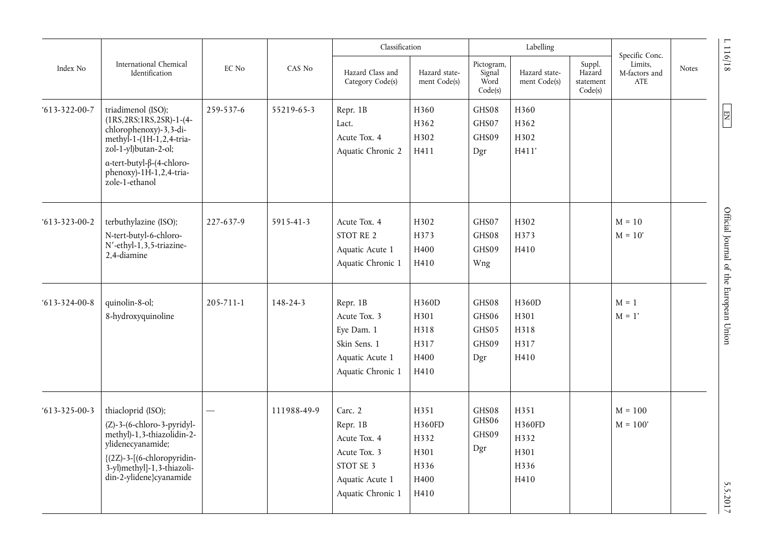|                                  |                                                                                                                                                                                                                                      |                    |                | Classification                                                                                           |                                                        |                                         | Labelling                                      |                                          | Specific Conc.                  |       |                                                           |
|----------------------------------|--------------------------------------------------------------------------------------------------------------------------------------------------------------------------------------------------------------------------------------|--------------------|----------------|----------------------------------------------------------------------------------------------------------|--------------------------------------------------------|-----------------------------------------|------------------------------------------------|------------------------------------------|---------------------------------|-------|-----------------------------------------------------------|
| Index No<br>$613 - 322 - 00 - 7$ | International Chemical<br>Identification                                                                                                                                                                                             | EC No<br>259-537-6 | CAS No         | Hazard Class and<br>Category Code(s)                                                                     | Hazard state-<br>ment Code(s)                          | Pictogram,<br>Signal<br>Word<br>Code(s) | Hazard state-<br>ment Code(s)                  | Suppl.<br>Hazard<br>statement<br>Code(s) | Limits,<br>M-factors and<br>ATE | Notes | 1116/18                                                   |
|                                  | triadimenol (ISO);<br>$(1RS, 2RS; 1RS, 2SR) - 1 - (4 -$<br>chlorophenoxy)-3,3-di-<br>methyl-1- $(1H-1, 2, 4-tria-$<br>zol-1-yl)butan-2-ol;<br>$\alpha$ -tert-butyl- $\beta$ -(4-chloro-<br>phenoxy)-1H-1,2,4-tria-<br>zole-1-ethanol |                    | 55219-65-3     | Repr. 1B<br>Lact.<br>Acute Tox. 4<br>Aquatic Chronic 2                                                   | H360<br>H362<br>H302<br>H411                           | GHS08<br>GHS07<br>GHS09<br>Dgr          | H360<br>H362<br>H302<br>H411'                  |                                          |                                 |       | $\begin{array}{c} \n \text{I} \n \text{I} \n \end{array}$ |
| $613 - 323 - 00 - 2$             | terbuthylazine (ISO);<br>N-tert-butyl-6-chloro-<br>N'-ethyl-1,3,5-triazine-<br>2,4-diamine                                                                                                                                           | 227-637-9          | 5915-41-3      | Acute Tox. 4<br>STOT RE 2<br>Aquatic Acute 1<br>Aquatic Chronic 1                                        | H302<br>H373<br>H400<br>H410                           | GHS07<br>GHS08<br>GHS09<br>Wng          | H302<br>H373<br>H410                           |                                          | $M = 10$<br>$M = 10'$           |       | Official Journal of the European Union                    |
| $613 - 324 - 00 - 8$             | quinolin-8-ol;<br>8-hydroxyquinoline                                                                                                                                                                                                 | $205 - 711 - 1$    | $148 - 24 - 3$ | Repr. 1B<br>Acute Tox. 3<br>Eye Dam. 1<br>Skin Sens. 1<br>Aquatic Acute 1<br>Aquatic Chronic 1           | H360D<br>H301<br>H318<br>H317<br>H400<br>H410          | GHS08<br>GHS06<br>GHS05<br>GHS09<br>Dgr | H360D<br>H301<br>H318<br>H317<br>H410          |                                          | $M = 1$<br>$M = 1'$             |       |                                                           |
| $613 - 325 - 00 - 3$             | thiacloprid (ISO);<br>(Z)-3-(6-chloro-3-pyridyl-<br>methyl)-1,3-thiazolidin-2-<br>ylidenecyanamide;<br>{(2Z)-3-[(6-chloropyridin-<br>3-yl)methyl]-1,3-thiazoli-<br>din-2-ylidene}cyanamide                                           |                    | 111988-49-9    | Carc. 2<br>Repr. 1B<br>Acute Tox. 4<br>Acute Tox. 3<br>STOT SE 3<br>Aquatic Acute 1<br>Aquatic Chronic 1 | H351<br>H360FD<br>H332<br>H301<br>H336<br>H400<br>H410 | GHS08<br>GHS06<br>GHS09<br>Dgr          | H351<br>H360FD<br>H332<br>H301<br>H336<br>H410 |                                          | $M = 100$<br>$M = 100'$         |       | 5.5.2017                                                  |